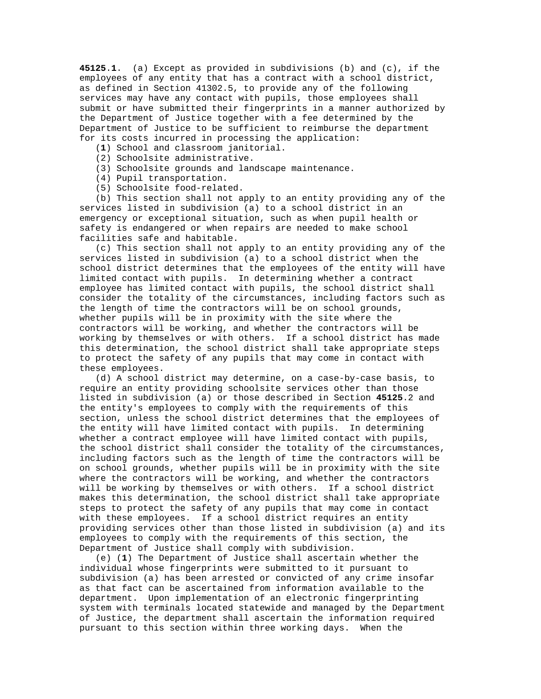**45125**.**1**. (a) Except as provided in subdivisions (b) and (c), if the employees of any entity that has a contract with a school district, as defined in Section 41302.5, to provide any of the following services may have any contact with pupils, those employees shall submit or have submitted their fingerprints in a manner authorized by the Department of Justice together with a fee determined by the Department of Justice to be sufficient to reimburse the department for its costs incurred in processing the application:

- (**1**) School and classroom janitorial.
- (2) Schoolsite administrative.
- (3) Schoolsite grounds and landscape maintenance.
- (4) Pupil transportation.
- (5) Schoolsite food-related.

 (b) This section shall not apply to an entity providing any of the services listed in subdivision (a) to a school district in an emergency or exceptional situation, such as when pupil health or safety is endangered or when repairs are needed to make school facilities safe and habitable.

 (c) This section shall not apply to an entity providing any of the services listed in subdivision (a) to a school district when the school district determines that the employees of the entity will have limited contact with pupils. In determining whether a contract employee has limited contact with pupils, the school district shall consider the totality of the circumstances, including factors such as the length of time the contractors will be on school grounds, whether pupils will be in proximity with the site where the contractors will be working, and whether the contractors will be working by themselves or with others. If a school district has made this determination, the school district shall take appropriate steps to protect the safety of any pupils that may come in contact with these employees.

 (d) A school district may determine, on a case-by-case basis, to require an entity providing schoolsite services other than those listed in subdivision (a) or those described in Section **45125**.2 and the entity's employees to comply with the requirements of this section, unless the school district determines that the employees of the entity will have limited contact with pupils. In determining whether a contract employee will have limited contact with pupils, the school district shall consider the totality of the circumstances, including factors such as the length of time the contractors will be on school grounds, whether pupils will be in proximity with the site where the contractors will be working, and whether the contractors will be working by themselves or with others. If a school district makes this determination, the school district shall take appropriate steps to protect the safety of any pupils that may come in contact with these employees. If a school district requires an entity providing services other than those listed in subdivision (a) and its employees to comply with the requirements of this section, the Department of Justice shall comply with subdivision.

 (e) (**1**) The Department of Justice shall ascertain whether the individual whose fingerprints were submitted to it pursuant to subdivision (a) has been arrested or convicted of any crime insofar as that fact can be ascertained from information available to the department. Upon implementation of an electronic fingerprinting system with terminals located statewide and managed by the Department of Justice, the department shall ascertain the information required pursuant to this section within three working days. When the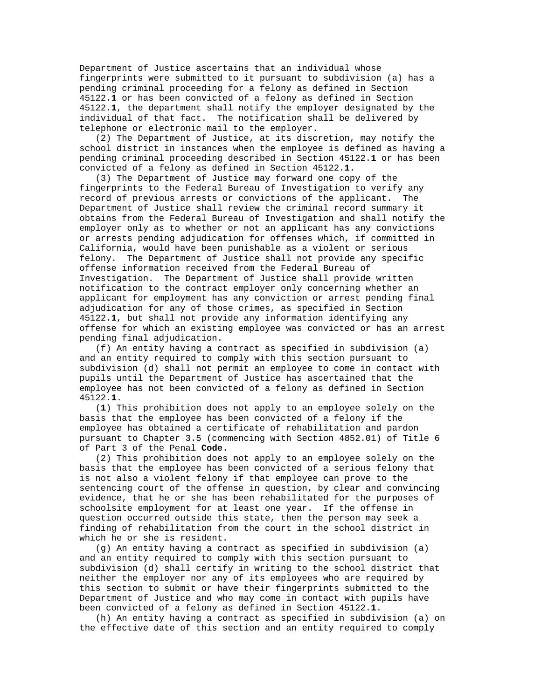Department of Justice ascertains that an individual whose fingerprints were submitted to it pursuant to subdivision (a) has a pending criminal proceeding for a felony as defined in Section 45122.**1** or has been convicted of a felony as defined in Section 45122.**1**, the department shall notify the employer designated by the individual of that fact. The notification shall be delivered by telephone or electronic mail to the employer.

 (2) The Department of Justice, at its discretion, may notify the school district in instances when the employee is defined as having a pending criminal proceeding described in Section 45122.**1** or has been convicted of a felony as defined in Section 45122.**1**.

 (3) The Department of Justice may forward one copy of the fingerprints to the Federal Bureau of Investigation to verify any record of previous arrests or convictions of the applicant. The Department of Justice shall review the criminal record summary it obtains from the Federal Bureau of Investigation and shall notify the employer only as to whether or not an applicant has any convictions or arrests pending adjudication for offenses which, if committed in California, would have been punishable as a violent or serious felony. The Department of Justice shall not provide any specific offense information received from the Federal Bureau of Investigation. The Department of Justice shall provide written notification to the contract employer only concerning whether an applicant for employment has any conviction or arrest pending final adjudication for any of those crimes, as specified in Section 45122.**1**, but shall not provide any information identifying any offense for which an existing employee was convicted or has an arrest pending final adjudication.

 (f) An entity having a contract as specified in subdivision (a) and an entity required to comply with this section pursuant to subdivision (d) shall not permit an employee to come in contact with pupils until the Department of Justice has ascertained that the employee has not been convicted of a felony as defined in Section 45122.**1**.

 (**1**) This prohibition does not apply to an employee solely on the basis that the employee has been convicted of a felony if the employee has obtained a certificate of rehabilitation and pardon pursuant to Chapter 3.5 (commencing with Section 4852.01) of Title 6 of Part 3 of the Penal **Code**.

 (2) This prohibition does not apply to an employee solely on the basis that the employee has been convicted of a serious felony that is not also a violent felony if that employee can prove to the sentencing court of the offense in question, by clear and convincing evidence, that he or she has been rehabilitated for the purposes of schoolsite employment for at least one year. If the offense in question occurred outside this state, then the person may seek a finding of rehabilitation from the court in the school district in which he or she is resident.

 (g) An entity having a contract as specified in subdivision (a) and an entity required to comply with this section pursuant to subdivision (d) shall certify in writing to the school district that neither the employer nor any of its employees who are required by this section to submit or have their fingerprints submitted to the Department of Justice and who may come in contact with pupils have been convicted of a felony as defined in Section 45122.**1**.

 (h) An entity having a contract as specified in subdivision (a) on the effective date of this section and an entity required to comply